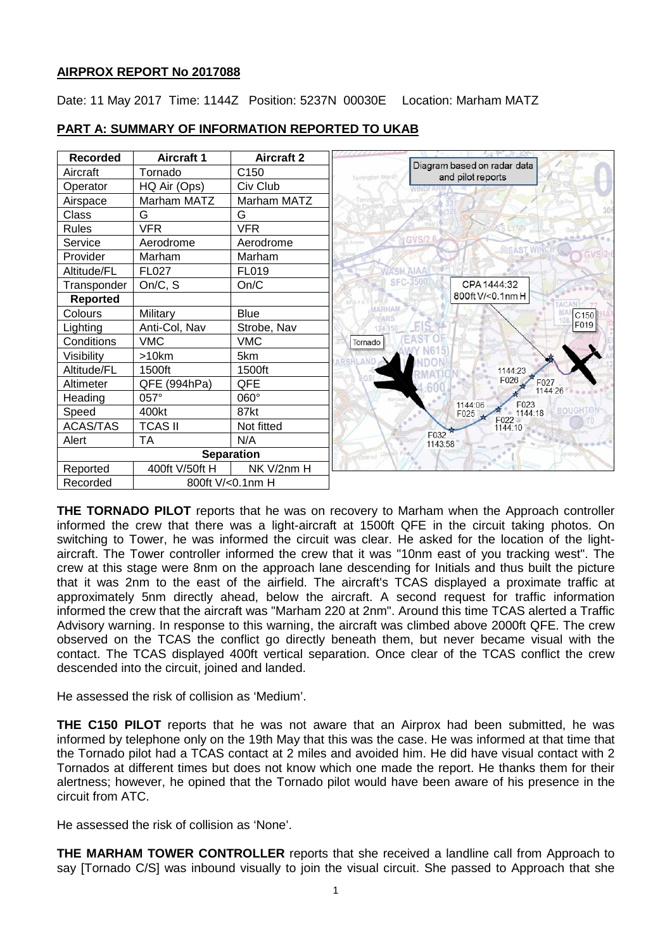# **AIRPROX REPORT No 2017088**

Date: 11 May 2017 Time: 1144Z Position: 5237N 00030E Location: Marham MATZ



# **PART A: SUMMARY OF INFORMATION REPORTED TO UKAB**

**THE TORNADO PILOT** reports that he was on recovery to Marham when the Approach controller informed the crew that there was a light-aircraft at 1500ft QFE in the circuit taking photos. On switching to Tower, he was informed the circuit was clear. He asked for the location of the lightaircraft. The Tower controller informed the crew that it was "10nm east of you tracking west". The crew at this stage were 8nm on the approach lane descending for Initials and thus built the picture that it was 2nm to the east of the airfield. The aircraft's TCAS displayed a proximate traffic at approximately 5nm directly ahead, below the aircraft. A second request for traffic information informed the crew that the aircraft was "Marham 220 at 2nm". Around this time TCAS alerted a Traffic Advisory warning. In response to this warning, the aircraft was climbed above 2000ft QFE. The crew observed on the TCAS the conflict go directly beneath them, but never became visual with the contact. The TCAS displayed 400ft vertical separation. Once clear of the TCAS conflict the crew descended into the circuit, joined and landed.

He assessed the risk of collision as 'Medium'.

**THE C150 PILOT** reports that he was not aware that an Airprox had been submitted, he was informed by telephone only on the 19th May that this was the case. He was informed at that time that the Tornado pilot had a TCAS contact at 2 miles and avoided him. He did have visual contact with 2 Tornados at different times but does not know which one made the report. He thanks them for their alertness; however, he opined that the Tornado pilot would have been aware of his presence in the circuit from ATC.

He assessed the risk of collision as 'None'.

**THE MARHAM TOWER CONTROLLER** reports that she received a landline call from Approach to say [Tornado C/S] was inbound visually to join the visual circuit. She passed to Approach that she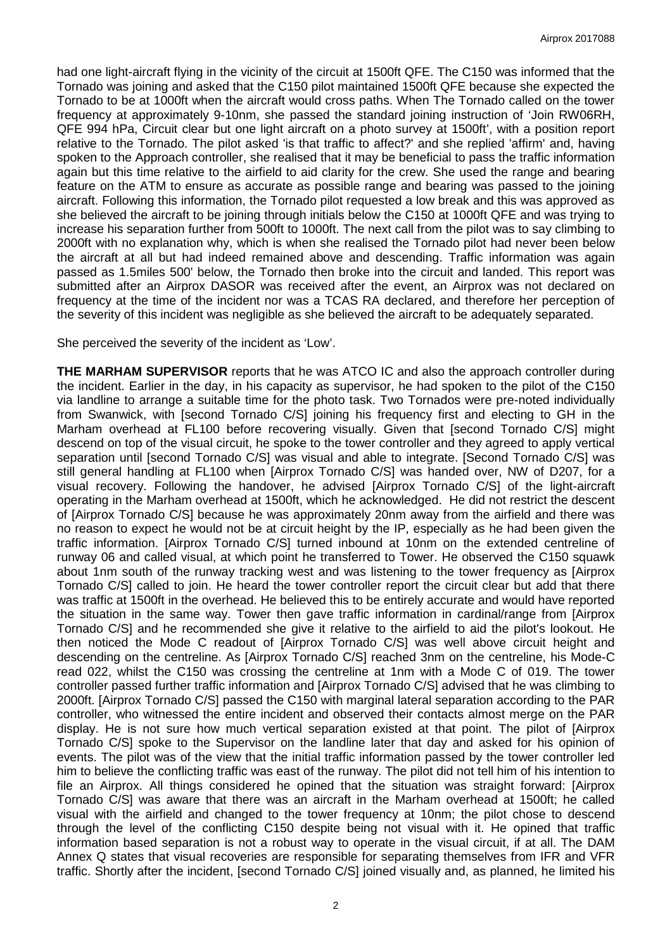had one light-aircraft flying in the vicinity of the circuit at 1500ft QFE. The C150 was informed that the Tornado was joining and asked that the C150 pilot maintained 1500ft QFE because she expected the Tornado to be at 1000ft when the aircraft would cross paths. When The Tornado called on the tower frequency at approximately 9-10nm, she passed the standard joining instruction of 'Join RW06RH, QFE 994 hPa, Circuit clear but one light aircraft on a photo survey at 1500ft', with a position report relative to the Tornado. The pilot asked 'is that traffic to affect?' and she replied 'affirm' and, having spoken to the Approach controller, she realised that it may be beneficial to pass the traffic information again but this time relative to the airfield to aid clarity for the crew. She used the range and bearing feature on the ATM to ensure as accurate as possible range and bearing was passed to the joining aircraft. Following this information, the Tornado pilot requested a low break and this was approved as she believed the aircraft to be joining through initials below the C150 at 1000ft QFE and was trying to increase his separation further from 500ft to 1000ft. The next call from the pilot was to say climbing to 2000ft with no explanation why, which is when she realised the Tornado pilot had never been below the aircraft at all but had indeed remained above and descending. Traffic information was again passed as 1.5miles 500' below, the Tornado then broke into the circuit and landed. This report was submitted after an Airprox DASOR was received after the event, an Airprox was not declared on frequency at the time of the incident nor was a TCAS RA declared, and therefore her perception of the severity of this incident was negligible as she believed the aircraft to be adequately separated.

She perceived the severity of the incident as 'Low'.

**THE MARHAM SUPERVISOR** reports that he was ATCO IC and also the approach controller during the incident. Earlier in the day, in his capacity as supervisor, he had spoken to the pilot of the C150 via landline to arrange a suitable time for the photo task. Two Tornados were pre-noted individually from Swanwick, with [second Tornado C/S] joining his frequency first and electing to GH in the Marham overhead at FL100 before recovering visually. Given that [second Tornado C/S] might descend on top of the visual circuit, he spoke to the tower controller and they agreed to apply vertical separation until [second Tornado C/S] was visual and able to integrate. [Second Tornado C/S] was still general handling at FL100 when [Airprox Tornado C/S] was handed over, NW of D207, for a visual recovery. Following the handover, he advised [Airprox Tornado C/S] of the light-aircraft operating in the Marham overhead at 1500ft, which he acknowledged. He did not restrict the descent of [Airprox Tornado C/S] because he was approximately 20nm away from the airfield and there was no reason to expect he would not be at circuit height by the IP, especially as he had been given the traffic information. [Airprox Tornado C/S] turned inbound at 10nm on the extended centreline of runway 06 and called visual, at which point he transferred to Tower. He observed the C150 squawk about 1nm south of the runway tracking west and was listening to the tower frequency as [Airprox Tornado C/S] called to join. He heard the tower controller report the circuit clear but add that there was traffic at 1500ft in the overhead. He believed this to be entirely accurate and would have reported the situation in the same way. Tower then gave traffic information in cardinal/range from [Airprox Tornado C/S] and he recommended she give it relative to the airfield to aid the pilot's lookout. He then noticed the Mode C readout of [Airprox Tornado C/S] was well above circuit height and descending on the centreline. As [Airprox Tornado C/S] reached 3nm on the centreline, his Mode-C read 022, whilst the C150 was crossing the centreline at 1nm with a Mode C of 019. The tower controller passed further traffic information and [Airprox Tornado C/S] advised that he was climbing to 2000ft. [Airprox Tornado C/S] passed the C150 with marginal lateral separation according to the PAR controller, who witnessed the entire incident and observed their contacts almost merge on the PAR display. He is not sure how much vertical separation existed at that point. The pilot of [Airprox Tornado C/S] spoke to the Supervisor on the landline later that day and asked for his opinion of events. The pilot was of the view that the initial traffic information passed by the tower controller led him to believe the conflicting traffic was east of the runway. The pilot did not tell him of his intention to file an Airprox. All things considered he opined that the situation was straight forward: [Airprox Tornado C/S] was aware that there was an aircraft in the Marham overhead at 1500ft; he called visual with the airfield and changed to the tower frequency at 10nm; the pilot chose to descend through the level of the conflicting C150 despite being not visual with it. He opined that traffic information based separation is not a robust way to operate in the visual circuit, if at all. The DAM Annex Q states that visual recoveries are responsible for separating themselves from IFR and VFR traffic. Shortly after the incident, [second Tornado C/S] joined visually and, as planned, he limited his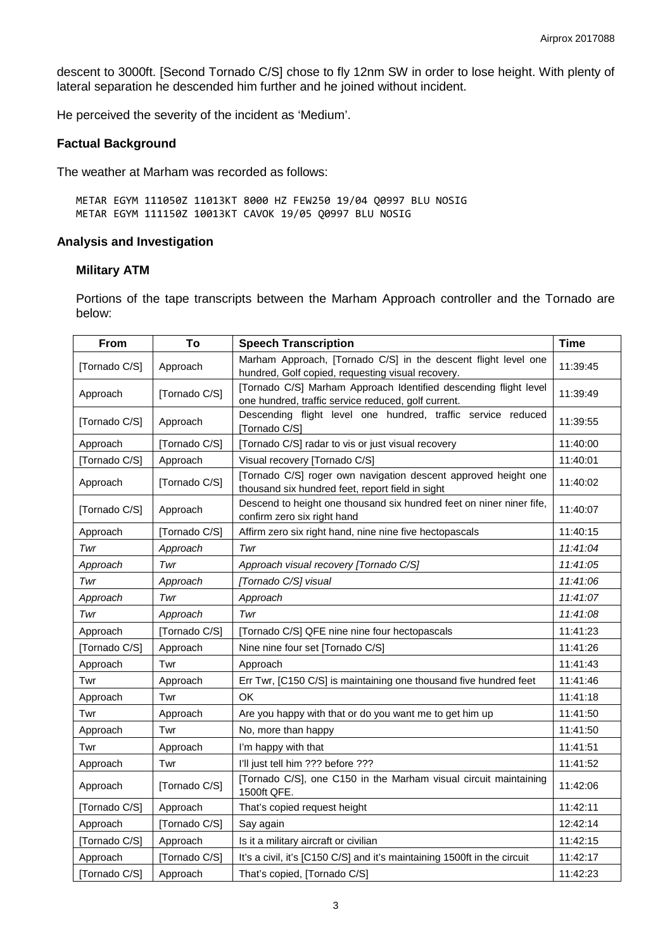descent to 3000ft. [Second Tornado C/S] chose to fly 12nm SW in order to lose height. With plenty of lateral separation he descended him further and he joined without incident.

He perceived the severity of the incident as 'Medium'.

### **Factual Background**

The weather at Marham was recorded as follows:

METAR EGYM 111050Z 11013KT 8000 HZ FEW250 19/04 Q0997 BLU NOSIG METAR EGYM 111150Z 10013KT CAVOK 19/05 Q0997 BLU NOSIG

## **Analysis and Investigation**

## **Military ATM**

Portions of the tape transcripts between the Marham Approach controller and the Tornado are below:

| From          | To            | <b>Speech Transcription</b>                                                                                             | <b>Time</b> |
|---------------|---------------|-------------------------------------------------------------------------------------------------------------------------|-------------|
| [Tornado C/S] | Approach      | Marham Approach, [Tornado C/S] in the descent flight level one<br>hundred, Golf copied, requesting visual recovery.     | 11:39:45    |
| Approach      | [Tornado C/S] | [Tornado C/S] Marham Approach Identified descending flight level<br>one hundred, traffic service reduced, golf current. | 11:39:49    |
| [Tornado C/S] | Approach      | Descending flight level one hundred, traffic service reduced<br>[Tornado C/S]                                           | 11:39:55    |
| Approach      | [Tornado C/S] | [Tornado C/S] radar to vis or just visual recovery                                                                      | 11:40:00    |
| [Tornado C/S] | Approach      | Visual recovery [Tornado C/S]                                                                                           | 11:40:01    |
| Approach      | [Tornado C/S] | [Tornado C/S] roger own navigation descent approved height one<br>thousand six hundred feet, report field in sight      | 11:40:02    |
| [Tornado C/S] | Approach      | Descend to height one thousand six hundred feet on niner niner fife,<br>confirm zero six right hand                     | 11:40:07    |
| Approach      | [Tornado C/S] | Affirm zero six right hand, nine nine five hectopascals                                                                 | 11:40:15    |
| Twr           | Approach      | Twr                                                                                                                     | 11:41:04    |
| Approach      | Twr           | Approach visual recovery [Tornado C/S]                                                                                  | 11:41:05    |
| Twr           | Approach      | [Tornado C/S] visual                                                                                                    | 11:41:06    |
| Approach      | Twr           | Approach                                                                                                                | 11:41:07    |
| Twr           | Approach      | Twr                                                                                                                     | 11:41:08    |
| Approach      | [Tornado C/S] | [Tornado C/S] QFE nine nine four hectopascals                                                                           | 11:41:23    |
| [Tornado C/S] | Approach      | Nine nine four set [Tornado C/S]                                                                                        | 11:41:26    |
| Approach      | Twr           | Approach                                                                                                                | 11:41:43    |
| Twr           | Approach      | Err Twr, [C150 C/S] is maintaining one thousand five hundred feet                                                       | 11:41:46    |
| Approach      | Twr           | <b>OK</b>                                                                                                               | 11:41:18    |
| Twr           | Approach      | Are you happy with that or do you want me to get him up                                                                 | 11:41:50    |
| Approach      | Twr           | No, more than happy                                                                                                     | 11:41:50    |
| Twr           | Approach      | I'm happy with that                                                                                                     | 11:41:51    |
| Approach      | Twr           | I'll just tell him ??? before ???                                                                                       | 11:41:52    |
| Approach      | [Tornado C/S] | [Tornado C/S], one C150 in the Marham visual circuit maintaining<br>1500ft QFE.                                         | 11:42:06    |
| [Tornado C/S] | Approach      | That's copied request height                                                                                            | 11:42:11    |
| Approach      | [Tornado C/S] | Say again                                                                                                               | 12:42:14    |
| [Tornado C/S] | Approach      | Is it a military aircraft or civilian                                                                                   | 11:42:15    |
| Approach      | [Tornado C/S] | It's a civil, it's [C150 C/S] and it's maintaining 1500ft in the circuit                                                | 11:42:17    |
| [Tornado C/S] | Approach      | That's copied, [Tornado C/S]                                                                                            | 11:42:23    |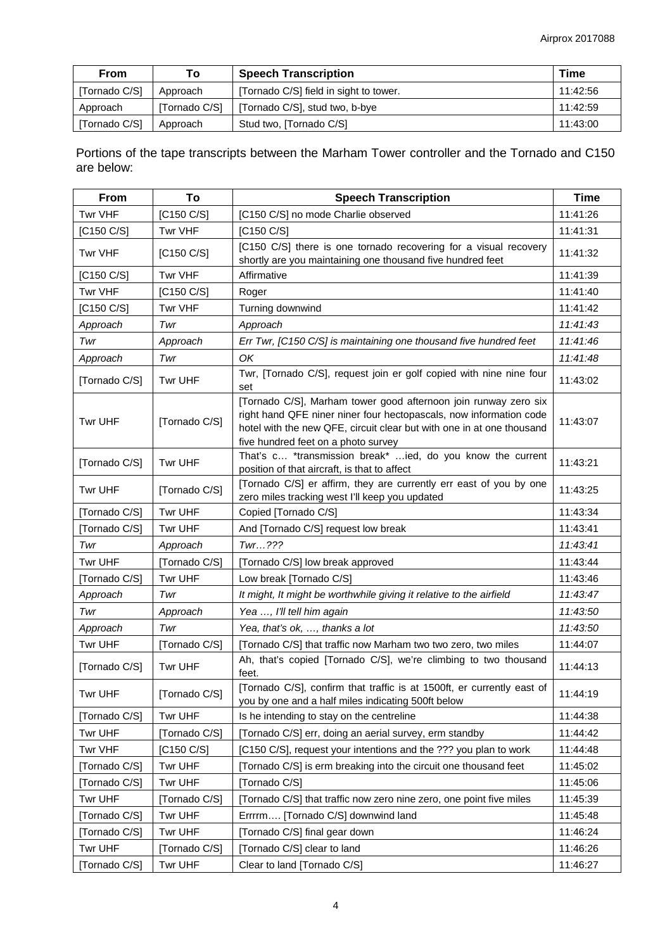| <b>From</b>   | Τo            | <b>Speech Transcription</b>            | Time     |
|---------------|---------------|----------------------------------------|----------|
| [Tornado C/S] | Approach      | [Tornado C/S] field in sight to tower. | 11:42:56 |
| Approach      | [Tornado C/S] | [Tornado C/S], stud two, b-bye         | 11:42:59 |
| [Tornado C/S] | Approach      | Stud two, [Tornado C/S]                | 11:43:00 |

Portions of the tape transcripts between the Marham Tower controller and the Tornado and C150 are below:

| From          | To            | <b>Speech Transcription</b>                                                                                                                                                                                                                           | <b>Time</b> |
|---------------|---------------|-------------------------------------------------------------------------------------------------------------------------------------------------------------------------------------------------------------------------------------------------------|-------------|
| Twr VHF       | [C150 C/S]    | [C150 C/S] no mode Charlie observed                                                                                                                                                                                                                   | 11:41:26    |
| [C150 C/S]    | Twr VHF       | [C150 C/S]                                                                                                                                                                                                                                            | 11:41:31    |
| Twr VHF       | [C150 C/S]    | [C150 C/S] there is one tornado recovering for a visual recovery<br>shortly are you maintaining one thousand five hundred feet                                                                                                                        | 11:41:32    |
| [C150 C/S]    | Twr VHF       | Affirmative                                                                                                                                                                                                                                           | 11:41:39    |
| Twr VHF       | [C150 C/S]    | Roger                                                                                                                                                                                                                                                 | 11:41:40    |
| [C150 C/S]    | Twr VHF       | Turning downwind                                                                                                                                                                                                                                      | 11:41:42    |
| Approach      | Twr           | Approach                                                                                                                                                                                                                                              | 11:41:43    |
| Twr           | Approach      | Err Twr, [C150 C/S] is maintaining one thousand five hundred feet                                                                                                                                                                                     | 11:41:46    |
| Approach      | Twr           | OK                                                                                                                                                                                                                                                    | 11:41:48    |
| [Tornado C/S] | Twr UHF       | Twr, [Tornado C/S], request join er golf copied with nine nine four<br>set                                                                                                                                                                            | 11:43:02    |
| Twr UHF       | [Tornado C/S] | [Tornado C/S], Marham tower good afternoon join runway zero six<br>right hand QFE niner niner four hectopascals, now information code<br>hotel with the new QFE, circuit clear but with one in at one thousand<br>five hundred feet on a photo survey | 11:43:07    |
| [Tornado C/S] | Twr UHF       | That's c *transmission break* ied, do you know the current<br>position of that aircraft, is that to affect                                                                                                                                            | 11:43:21    |
| Twr UHF       | [Tornado C/S] | [Tornado C/S] er affirm, they are currently err east of you by one<br>zero miles tracking west I'll keep you updated                                                                                                                                  | 11:43:25    |
| [Tornado C/S] | Twr UHF       | Copied [Tornado C/S]                                                                                                                                                                                                                                  | 11:43:34    |
| [Tornado C/S] | Twr UHF       | And [Tornado C/S] request low break                                                                                                                                                                                                                   | 11:43:41    |
| Twr           | Approach      | Twr???                                                                                                                                                                                                                                                | 11:43:41    |
| Twr UHF       | [Tornado C/S] | [Tornado C/S] low break approved                                                                                                                                                                                                                      | 11:43:44    |
| [Tornado C/S] | Twr UHF       | Low break [Tornado C/S]                                                                                                                                                                                                                               | 11:43:46    |
| Approach      | Twr           | It might, It might be worthwhile giving it relative to the airfield                                                                                                                                                                                   | 11:43:47    |
| Twr           | Approach      | Yea , I'll tell him again                                                                                                                                                                                                                             | 11:43:50    |
| Approach      | Twr           | Yea, that's ok, , thanks a lot                                                                                                                                                                                                                        | 11:43:50    |
| Twr UHF       | [Tornado C/S] | [Tornado C/S] that traffic now Marham two two zero, two miles                                                                                                                                                                                         | 11:44:07    |
| [Tornado C/S] | Twr UHF       | Ah, that's copied [Tornado C/S], we're climbing to two thousand<br>feet.                                                                                                                                                                              | 11:44:13    |
| Twr UHF       | [Tornado C/S] | [Tornado C/S], confirm that traffic is at 1500ft, er currently east of<br>you by one and a half miles indicating 500ft below                                                                                                                          | 11:44:19    |
| [Tornado C/S] | Twr UHF       | Is he intending to stay on the centreline                                                                                                                                                                                                             | 11:44:38    |
| Twr UHF       | [Tornado C/S] | [Tornado C/S] err, doing an aerial survey, erm standby                                                                                                                                                                                                | 11:44:42    |
| Twr VHF       | [C150 C/S]    | [C150 C/S], request your intentions and the ??? you plan to work                                                                                                                                                                                      | 11:44:48    |
| [Tornado C/S] | Twr UHF       | [Tornado C/S] is erm breaking into the circuit one thousand feet                                                                                                                                                                                      | 11:45:02    |
| [Tornado C/S] | Twr UHF       | [Tornado C/S]                                                                                                                                                                                                                                         | 11:45:06    |
| Twr UHF       | [Tornado C/S] | [Tornado C/S] that traffic now zero nine zero, one point five miles                                                                                                                                                                                   | 11:45:39    |
| [Tornado C/S] | Twr UHF       | Errrrm [Tornado C/S] downwind land                                                                                                                                                                                                                    | 11:45:48    |
| [Tornado C/S] | Twr UHF       | [Tornado C/S] final gear down                                                                                                                                                                                                                         | 11:46:24    |
| Twr UHF       | [Tornado C/S] | [Tornado C/S] clear to land                                                                                                                                                                                                                           | 11:46:26    |
| [Tornado C/S] | Twr UHF       | Clear to land [Tornado C/S]                                                                                                                                                                                                                           | 11:46:27    |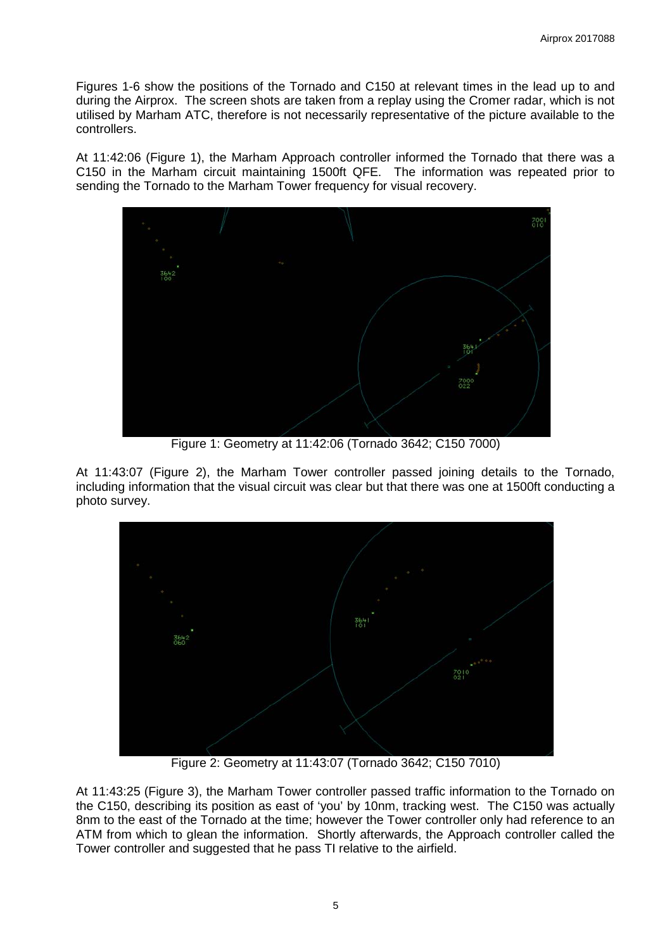Figures 1-6 show the positions of the Tornado and C150 at relevant times in the lead up to and during the Airprox. The screen shots are taken from a replay using the Cromer radar, which is not utilised by Marham ATC, therefore is not necessarily representative of the picture available to the controllers.

At 11:42:06 (Figure 1), the Marham Approach controller informed the Tornado that there was a C150 in the Marham circuit maintaining 1500ft QFE. The information was repeated prior to sending the Tornado to the Marham Tower frequency for visual recovery.



Figure 1: Geometry at 11:42:06 (Tornado 3642; C150 7000)

At 11:43:07 (Figure 2), the Marham Tower controller passed joining details to the Tornado, including information that the visual circuit was clear but that there was one at 1500ft conducting a photo survey.



Figure 2: Geometry at 11:43:07 (Tornado 3642; C150 7010)

At 11:43:25 (Figure 3), the Marham Tower controller passed traffic information to the Tornado on the C150, describing its position as east of 'you' by 10nm, tracking west. The C150 was actually 8nm to the east of the Tornado at the time; however the Tower controller only had reference to an ATM from which to glean the information. Shortly afterwards, the Approach controller called the Tower controller and suggested that he pass TI relative to the airfield.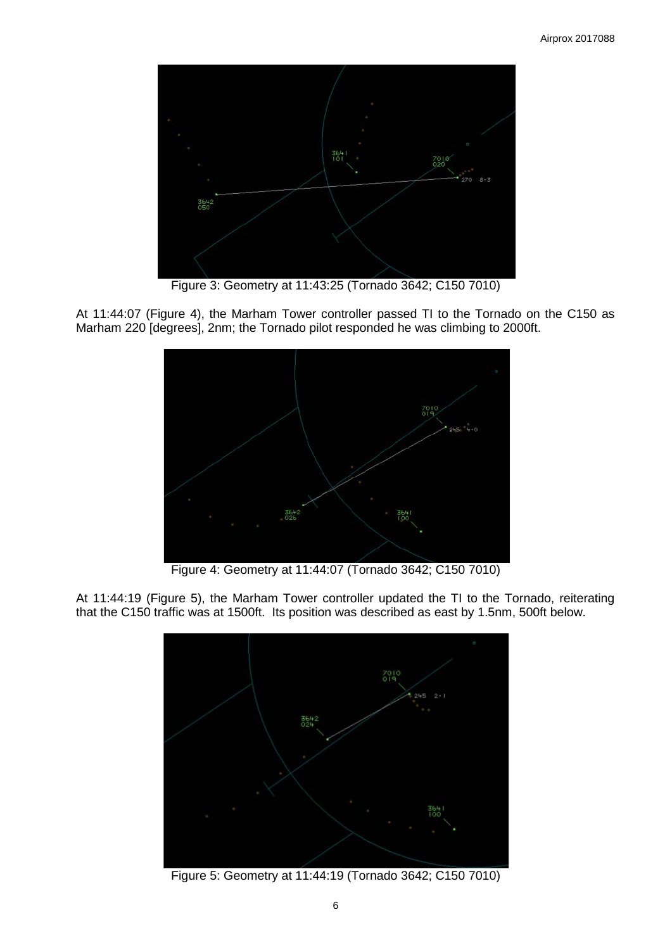

Figure 3: Geometry at 11:43:25 (Tornado 3642; C150 7010)

At 11:44:07 (Figure 4), the Marham Tower controller passed TI to the Tornado on the C150 as Marham 220 [degrees], 2nm; the Tornado pilot responded he was climbing to 2000ft.



Figure 4: Geometry at 11:44:07 (Tornado 3642; C150 7010)

At 11:44:19 (Figure 5), the Marham Tower controller updated the TI to the Tornado, reiterating that the C150 traffic was at 1500ft. Its position was described as east by 1.5nm, 500ft below.



Figure 5: Geometry at 11:44:19 (Tornado 3642; C150 7010)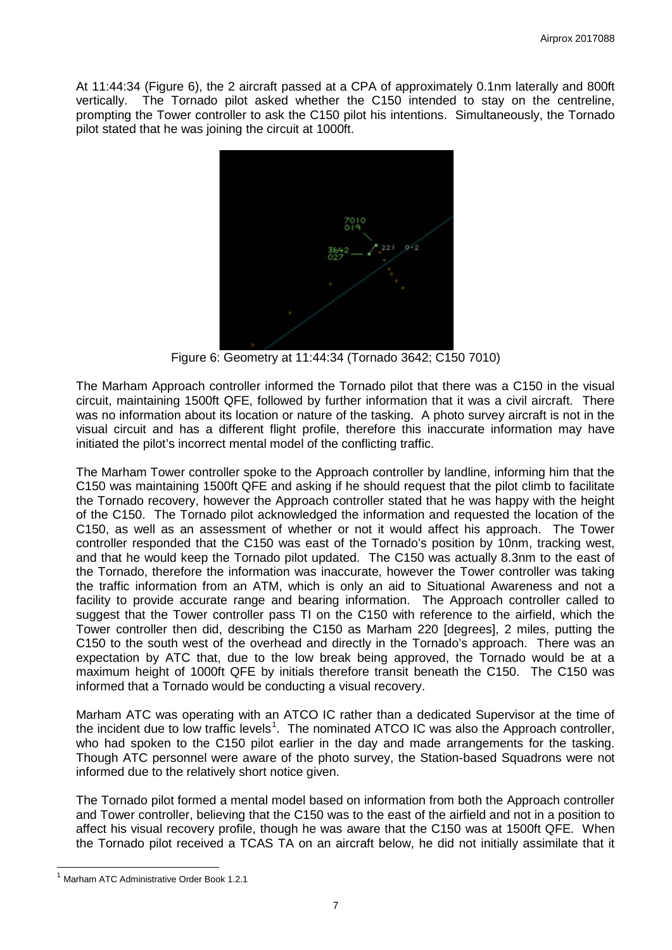At 11:44:34 (Figure 6), the 2 aircraft passed at a CPA of approximately 0.1nm laterally and 800ft vertically. The Tornado pilot asked whether the C150 intended to stay on the centreline, prompting the Tower controller to ask the C150 pilot his intentions. Simultaneously, the Tornado pilot stated that he was joining the circuit at 1000ft.



Figure 6: Geometry at 11:44:34 (Tornado 3642; C150 7010)

The Marham Approach controller informed the Tornado pilot that there was a C150 in the visual circuit, maintaining 1500ft QFE, followed by further information that it was a civil aircraft. There was no information about its location or nature of the tasking. A photo survey aircraft is not in the visual circuit and has a different flight profile, therefore this inaccurate information may have initiated the pilot's incorrect mental model of the conflicting traffic.

The Marham Tower controller spoke to the Approach controller by landline, informing him that the C150 was maintaining 1500ft QFE and asking if he should request that the pilot climb to facilitate the Tornado recovery, however the Approach controller stated that he was happy with the height of the C150. The Tornado pilot acknowledged the information and requested the location of the C150, as well as an assessment of whether or not it would affect his approach. The Tower controller responded that the C150 was east of the Tornado's position by 10nm, tracking west, and that he would keep the Tornado pilot updated. The C150 was actually 8.3nm to the east of the Tornado, therefore the information was inaccurate, however the Tower controller was taking the traffic information from an ATM, which is only an aid to Situational Awareness and not a facility to provide accurate range and bearing information. The Approach controller called to suggest that the Tower controller pass TI on the C150 with reference to the airfield, which the Tower controller then did, describing the C150 as Marham 220 [degrees], 2 miles, putting the C150 to the south west of the overhead and directly in the Tornado's approach. There was an expectation by ATC that, due to the low break being approved, the Tornado would be at a maximum height of 1000ft QFE by initials therefore transit beneath the C150. The C150 was informed that a Tornado would be conducting a visual recovery.

Marham ATC was operating with an ATCO IC rather than a dedicated Supervisor at the time of the incident due to low traffic levels<sup>[1](#page-6-0)</sup>. The nominated ATCO IC was also the Approach controller, who had spoken to the C150 pilot earlier in the day and made arrangements for the tasking. Though ATC personnel were aware of the photo survey, the Station-based Squadrons were not informed due to the relatively short notice given.

The Tornado pilot formed a mental model based on information from both the Approach controller and Tower controller, believing that the C150 was to the east of the airfield and not in a position to affect his visual recovery profile, though he was aware that the C150 was at 1500ft QFE. When the Tornado pilot received a TCAS TA on an aircraft below, he did not initially assimilate that it

<span id="page-6-0"></span><sup>1</sup> Marham ATC Administrative Order Book 1.2.1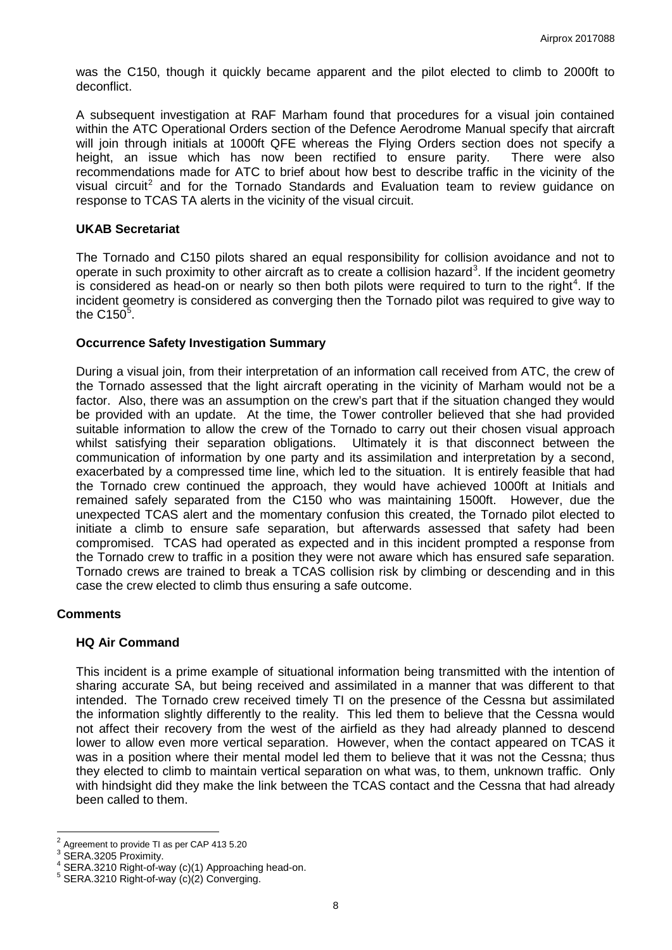was the C150, though it quickly became apparent and the pilot elected to climb to 2000ft to deconflict.

A subsequent investigation at RAF Marham found that procedures for a visual join contained within the ATC Operational Orders section of the Defence Aerodrome Manual specify that aircraft will join through initials at 1000ft QFE whereas the Flying Orders section does not specify a height, an issue which has now been rectified to ensure parity. There were also recommendations made for ATC to brief about how best to describe traffic in the vicinity of the visual circuit<sup>[2](#page-7-0)</sup> and for the Tornado Standards and Evaluation team to review guidance on response to TCAS TA alerts in the vicinity of the visual circuit.

## **UKAB Secretariat**

The Tornado and C150 pilots shared an equal responsibility for collision avoidance and not to operate in such proximity to other aircraft as to create a collision hazard<sup>[3](#page-7-1)</sup>. If the incident geometry is considered as head-on or nearly so then both pilots were required to turn to the right<sup>[4](#page-7-2)</sup>. If the incident geometry is considered as converging then the Tornado pilot was required to give way to the C1[5](#page-7-3)0 $5$ .

## **Occurrence Safety Investigation Summary**

During a visual join, from their interpretation of an information call received from ATC, the crew of the Tornado assessed that the light aircraft operating in the vicinity of Marham would not be a factor. Also, there was an assumption on the crew's part that if the situation changed they would be provided with an update. At the time, the Tower controller believed that she had provided suitable information to allow the crew of the Tornado to carry out their chosen visual approach whilst satisfying their separation obligations. Ultimately it is that disconnect between the communication of information by one party and its assimilation and interpretation by a second, exacerbated by a compressed time line, which led to the situation. It is entirely feasible that had the Tornado crew continued the approach, they would have achieved 1000ft at Initials and remained safely separated from the C150 who was maintaining 1500ft. However, due the unexpected TCAS alert and the momentary confusion this created, the Tornado pilot elected to initiate a climb to ensure safe separation, but afterwards assessed that safety had been compromised. TCAS had operated as expected and in this incident prompted a response from the Tornado crew to traffic in a position they were not aware which has ensured safe separation. Tornado crews are trained to break a TCAS collision risk by climbing or descending and in this case the crew elected to climb thus ensuring a safe outcome.

### **Comments**

### **HQ Air Command**

This incident is a prime example of situational information being transmitted with the intention of sharing accurate SA, but being received and assimilated in a manner that was different to that intended. The Tornado crew received timely TI on the presence of the Cessna but assimilated the information slightly differently to the reality. This led them to believe that the Cessna would not affect their recovery from the west of the airfield as they had already planned to descend lower to allow even more vertical separation. However, when the contact appeared on TCAS it was in a position where their mental model led them to believe that it was not the Cessna; thus they elected to climb to maintain vertical separation on what was, to them, unknown traffic. Only with hindsight did they make the link between the TCAS contact and the Cessna that had already been called to them.

<sup>2</sup> Agreement to provide TI as per CAP 413 5.20

<span id="page-7-2"></span><span id="page-7-1"></span><span id="page-7-0"></span>

SERA.3205 Proximity.<br>SERA.3210 Right-of-way (c)(1) Approaching head-on.<br>SERA.3210 Right-of-way (c)(2) Converging.

<span id="page-7-3"></span>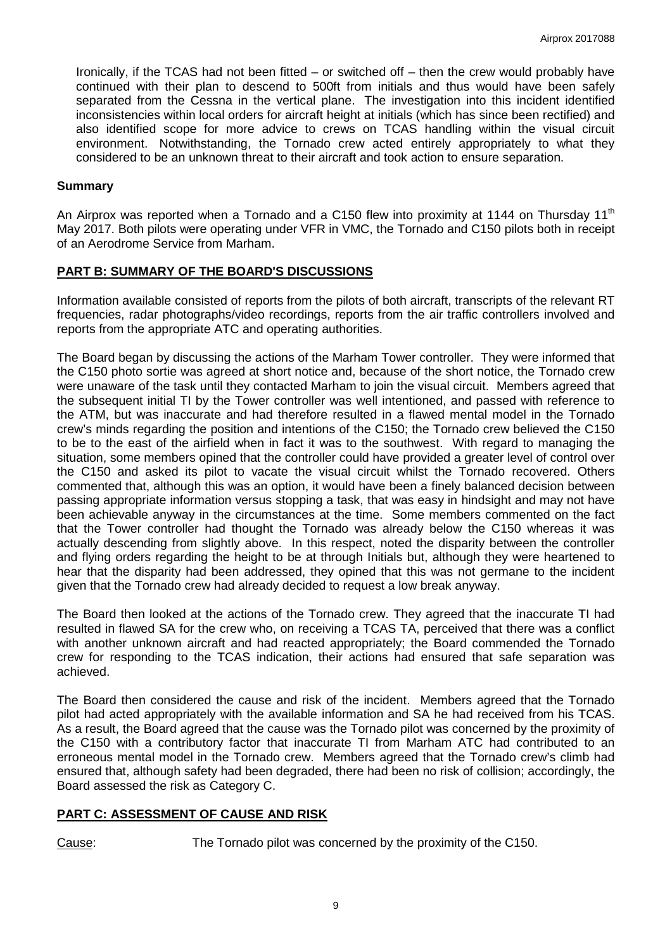Ironically, if the TCAS had not been fitted – or switched off – then the crew would probably have continued with their plan to descend to 500ft from initials and thus would have been safely separated from the Cessna in the vertical plane. The investigation into this incident identified inconsistencies within local orders for aircraft height at initials (which has since been rectified) and also identified scope for more advice to crews on TCAS handling within the visual circuit environment. Notwithstanding, the Tornado crew acted entirely appropriately to what they considered to be an unknown threat to their aircraft and took action to ensure separation.

## **Summary**

An Airprox was reported when a Tornado and a C150 flew into proximity at 1144 on Thursday 11<sup>th</sup> May 2017. Both pilots were operating under VFR in VMC, the Tornado and C150 pilots both in receipt of an Aerodrome Service from Marham.

# **PART B: SUMMARY OF THE BOARD'S DISCUSSIONS**

Information available consisted of reports from the pilots of both aircraft, transcripts of the relevant RT frequencies, radar photographs/video recordings, reports from the air traffic controllers involved and reports from the appropriate ATC and operating authorities.

The Board began by discussing the actions of the Marham Tower controller. They were informed that the C150 photo sortie was agreed at short notice and, because of the short notice, the Tornado crew were unaware of the task until they contacted Marham to join the visual circuit. Members agreed that the subsequent initial TI by the Tower controller was well intentioned, and passed with reference to the ATM, but was inaccurate and had therefore resulted in a flawed mental model in the Tornado crew's minds regarding the position and intentions of the C150; the Tornado crew believed the C150 to be to the east of the airfield when in fact it was to the southwest. With regard to managing the situation, some members opined that the controller could have provided a greater level of control over the C150 and asked its pilot to vacate the visual circuit whilst the Tornado recovered. Others commented that, although this was an option, it would have been a finely balanced decision between passing appropriate information versus stopping a task, that was easy in hindsight and may not have been achievable anyway in the circumstances at the time. Some members commented on the fact that the Tower controller had thought the Tornado was already below the C150 whereas it was actually descending from slightly above. In this respect, noted the disparity between the controller and flying orders regarding the height to be at through Initials but, although they were heartened to hear that the disparity had been addressed, they opined that this was not germane to the incident given that the Tornado crew had already decided to request a low break anyway.

The Board then looked at the actions of the Tornado crew. They agreed that the inaccurate TI had resulted in flawed SA for the crew who, on receiving a TCAS TA, perceived that there was a conflict with another unknown aircraft and had reacted appropriately; the Board commended the Tornado crew for responding to the TCAS indication, their actions had ensured that safe separation was achieved.

The Board then considered the cause and risk of the incident. Members agreed that the Tornado pilot had acted appropriately with the available information and SA he had received from his TCAS. As a result, the Board agreed that the cause was the Tornado pilot was concerned by the proximity of the C150 with a contributory factor that inaccurate TI from Marham ATC had contributed to an erroneous mental model in the Tornado crew. Members agreed that the Tornado crew's climb had ensured that, although safety had been degraded, there had been no risk of collision; accordingly, the Board assessed the risk as Category C.

# **PART C: ASSESSMENT OF CAUSE AND RISK**

Cause: The Tornado pilot was concerned by the proximity of the C150.